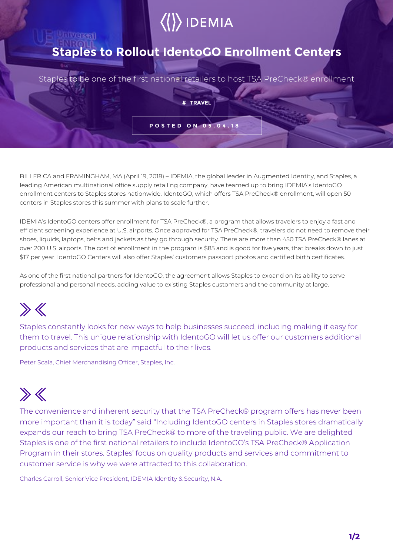# $\langle\langle\rangle\rangle$  IDEMIA

### **Staples to Rollout IdentoGO Enrollment Centers**

Staples to be one of the first national retailers to host TSA PreCheck® enrollment

**# TRAVEL**

**POSTED ON 05.04.18**

BILLERICA and FRAMINGHAM, MA (April 19, 2018) – IDEMIA, the global leader in Augmented Identity, and Staples, a leading American multinational office supply retailing company, have teamed up to bring IDEMIA's IdentoGO enrollment centers to Staples stores nationwide. IdentoGO, which offers TSA PreCheck® enrollment, will open 50 centers in Staples stores this summer with plans to scale further.

IDEMIA's IdentoGO centers offer enrollment for TSA PreCheck®, a program that allows travelers to enjoy a fast and efficient screening experience at U.S. airports. Once approved for TSA PreCheck®, travelers do not need to remove their shoes, liquids, laptops, belts and jackets as they go through security. There are more than 450 TSA PreCheck® lanes at over 200 U.S. airports. The cost of enrollment in the program is \$85 and is good for five years, that breaks down to just \$17 per year. IdentoGO Centers will also offer Staples' customers passport photos and certified birth certificates.

As one of the first national partners for IdentoGO, the agreement allows Staples to expand on its ability to serve professional and personal needs, adding value to existing Staples customers and the community at large.

# $\gg K$

Staples constantly looks for new ways to help businesses succeed, including making it easy for them to travel. This unique relationship with IdentoGO will let us offer our customers additional products and services that are impactful to their lives.

Peter Scala, Chief Merchandising Officer, Staples, Inc.

Versal

# $\gg K$

The convenience and inherent security that the TSA PreCheck® program offers has never been more important than it is today" said "Including IdentoGO centers in Staples stores dramatically expands our reach to bring TSA PreCheck® to more of the traveling public. We are delighted Staples is one of the first national retailers to include IdentoGO's TSA PreCheck® Application Program in their stores. Staples' focus on quality products and services and commitment to customer service is why we were attracted to this collaboration.

Charles Carroll, Senior Vice President, IDEMIA Identity & Security, N.A.